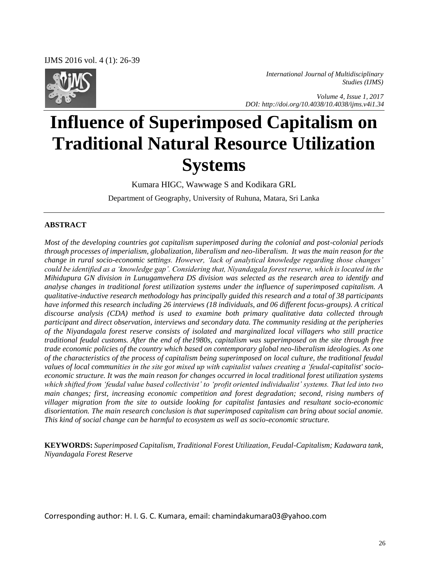IJMS 2016 vol. 4 (1): 26-39



*International Journal of Multidisciplinary Studies (IJMS)* 

 *Volume 4, Issue 1, 2017 DOI: http://doi.org/10.4038/10.4038/ijms.v4i1.34*

# **Influence of Superimposed Capitalism on Traditional Natural Resource Utilization Systems**

Kumara HIGC, Wawwage S and Kodikara GRL

Department of Geography, University of Ruhuna, Matara, Sri Lanka

#### **ABSTRACT**

*Most of the developing countries got capitalism superimposed during the colonial and post-colonial periods through processes of imperialism, globalization, liberalism and neo-liberalism. It was the main reason for the change in rural socio-economic settings. However, 'lack of analytical knowledge regarding those changes' could be identified as a 'knowledge gap'. Considering that, Niyandagala forest reserve, which is located in the Mihidupura GN division in Lunugamvehera DS division was selected as the research area to identify and analyse changes in traditional forest utilization systems under the influence of superimposed capitalism. A qualitative-inductive research methodology has principally guided this research and a total of 38 participants have informed this research including 26 interviews (18 individuals, and 06 different focus-groups). A critical discourse analysis (CDA) method is used to examine both primary qualitative data collected through participant and direct observation, interviews and secondary data. The community residing at the peripheries of the Niyandagala forest reserve consists of isolated and marginalized local villagers who still practice traditional feudal customs. After the end of the1980s, capitalism was superimposed on the site through free trade economic policies of the country which based on contemporary global neo-liberalism ideologies. As one of the characteristics of the process of capitalism being superimposed on local culture, the traditional feudal values of local communities in the site got mixed up with capitalist values creating a 'feudal-capitalist' socioeconomic structure. It was the main reason for changes occurred in local traditional forest utilization systems which shifted from 'feudal value based collectivist' to 'profit oriented individualist' systems. That led into two main changes; first, increasing economic competition and forest degradation; second, rising numbers of villager migration from the site to outside looking for capitalist fantasies and resultant socio-economic disorientation. The main research conclusion is that superimposed capitalism can bring about social anomie. This kind of social change can be harmful to ecosystem as well as socio-economic structure.* 

**KEYWORDS:** *Superimposed Capitalism, Traditional Forest Utilization, Feudal-Capitalism; Kadawara tank, Niyandagala Forest Reserve* 

Corresponding author: H. I. G. C. Kumara, email: chamindakumara03@yahoo.com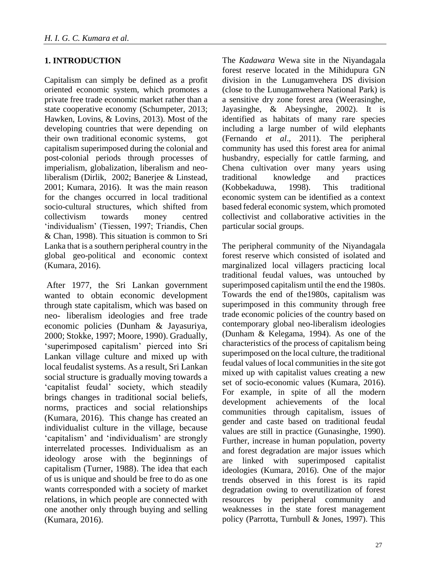## **1. INTRODUCTION**

Capitalism can simply be defined as a profit oriented economic system, which promotes a private free trade economic market rather than a state cooperative economy (Schumpeter, 2013; Hawken, Lovins, & Lovins, 2013). Most of the developing countries that were depending on their own traditional economic systems, got capitalism superimposed during the colonial and post-colonial periods through processes of imperialism, globalization, liberalism and neoliberalism (Dirlik, 2002; Banerjee & Linstead, 2001; Kumara, 2016). It was the main reason for the changes occurred in local traditional socio-cultural structures, which shifted from collectivism towards money centred 'individualism' (Tiessen, 1997; Triandis, Chen & Chan, 1998). This situation is common to Sri Lanka that is a southern peripheral country in the global geo-political and economic context (Kumara, 2016).

After 1977, the Sri Lankan government wanted to obtain economic development through state capitalism, which was based on neo- liberalism ideologies and free trade economic policies (Dunham & Jayasuriya, 2000; Stokke, 1997; Moore, 1990). Gradually, 'superimposed capitalism' pierced into Sri Lankan village culture and mixed up with local feudalist systems. As a result, Sri Lankan social structure is gradually moving towards a 'capitalist feudal' society, which steadily brings changes in traditional social beliefs, norms, practices and social relationships (Kumara, 2016). This change has created an individualist culture in the village, because 'capitalism' and 'individualism' are strongly interrelated processes. Individualism as an ideology arose with the beginnings of capitalism (Turner, 1988). The idea that each of us is unique and should be free to do as one wants corresponded with a society of market relations, in which people are connected with one another only through buying and selling (Kumara, 2016).

The *Kadawara* Wewa site in the Niyandagala forest reserve located in the Mihidupura GN division in the Lunugamvehera DS division (close to the Lunugamwehera National Park) is a sensitive dry zone forest area (Weerasinghe, Jayasinghe, & Abeysinghe, 2002). It is identified as habitats of many rare species including a large number of wild elephants (Fernando *et al*., 2011). The peripheral community has used this forest area for animal husbandry, especially for cattle farming, and Chena cultivation over many years using traditional knowledge and practices (Kobbekaduwa, 1998). This traditional economic system can be identified as a context based federal economic system, which promoted collectivist and collaborative activities in the particular social groups.

The peripheral community of the Niyandagala forest reserve which consisted of isolated and marginalized local villagers practicing local traditional feudal values, was untouched by superimposed capitalism until the end the 1980s. Towards the end of the1980s, capitalism was superimposed in this community through free trade economic policies of the country based on contemporary global neo-liberalism ideologies (Dunham & Kelegama, 1994). As one of the characteristics of the process of capitalism being superimposed on the local culture, the traditional feudal values of local communities in the site got mixed up with capitalist values creating a new set of socio-economic values (Kumara, 2016). For example, in spite of all the modern development achievements of the local communities through capitalism, issues of gender and caste based on traditional feudal values are still in practice (Gunasinghe, 1990). Further, increase in human population, poverty and forest degradation are major issues which are linked with superimposed capitalist ideologies (Kumara, 2016). One of the major trends observed in this forest is its rapid degradation owing to overutilization of forest resources by peripheral community and weaknesses in the state forest management policy (Parrotta, Turnbull & Jones, 1997). This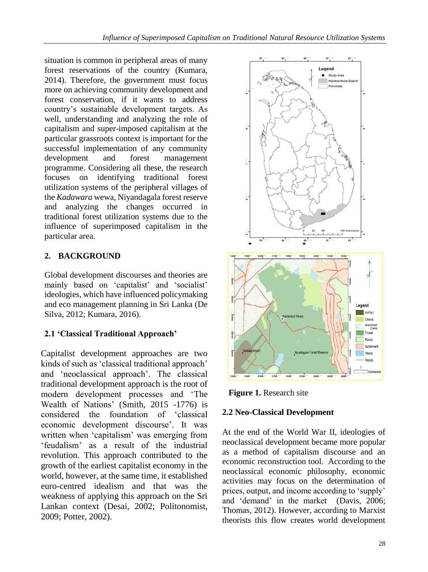situation is common in peripheral areas of many forest reservations of the country (Kumara, 2014). Therefore, the government must focus more on achieving community development and forest conservation, if it wants to address country's sustainable development targets. As well, understanding and analyzing the role of capitalism and super-imposed capitalism at the particular grassroots context is important for the successful implementation of any community development and forest management programme. Considering all these, the research focuses on identifying traditional forest utilization systems of the peripheral villages of the *Kadawara* wewa, Niyandagala forest reserve and analyzing the changes occurred in traditional forest utilization systems due to the influence of superimposed capitalism in the particular area.

# **2. BACKGROUND**

Global development discourses and theories are mainly based on 'capitalist' and 'socialist' ideologies, which have influenced policymaking and eco management planning in Sri Lanka (De Silva, 2012; Kumara, 2016).

## **2.1 'Classical Traditional Approach'**

Capitalist development approaches are two kinds of such as 'classical traditional approach' and 'neoclassical approach'. The classical traditional development approach is the root of modern development processes and 'The Wealth of Nations' (Smith, 2015 -1776) is considered the foundation of 'classical economic development discourse'. It was written when 'capitalism' was emerging from 'feudalism' as a result of the industrial revolution. This approach contributed to the growth of the earliest capitalist economy in the world, however, at the same time, it established euro-centred idealism and that was the weakness of applying this approach on the Sri Lankan context (Desai, 2002; Politonomist, 2009; Potter, 2002).



 **Figure 1.** Research site

### **2.2 Neo-Classical Development**

At the end of the World War II, ideologies of neoclassical development became more popular as a method of capitalism discourse and an economic reconstruction tool. According to the neoclassical economic philosophy, economic activities may focus on the determination of prices, output, and income according to 'supply' and 'demand' in the market (Davis, 2006; Thomas, 2012). However, according to Marxist theorists this flow creates world development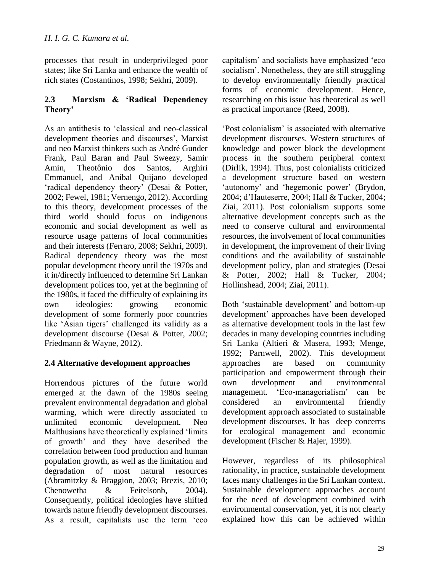processes that result in underprivileged poor states; like Sri Lanka and enhance the wealth of rich states (Costantinos, 1998; Sekhri, 2009).

#### **2.3 Marxism & 'Radical Dependency Theory'**

As an antithesis to 'classical and neo-classical development theories and discourses', Marxist and neo Marxist thinkers such as André Gunder Frank, Paul Baran and Paul Sweezy, Samir Amin, Theotônio dos Santos, Arghiri Emmanuel, and Aníbal Quijano developed 'radical dependency theory' (Desai & Potter, 2002; Fewel, 1981; Vernengo, 2012). According to this theory, development processes of the third world should focus on indigenous economic and social development as well as resource usage patterns of local communities and their interests (Ferraro, 2008; Sekhri, 2009). Radical dependency theory was the most popular development theory until the 1970s and it in/directly influenced to determine Sri Lankan development polices too, yet at the beginning of the 1980s, it faced the difficulty of explaining its own ideologies: growing economic development of some formerly poor countries like 'Asian tigers' challenged its validity as a development discourse (Desai & Potter, 2002; Friedmann & Wayne, 2012).

### **2.4 Alternative development approaches**

Horrendous pictures of the future world emerged at the dawn of the 1980s seeing prevalent environmental degradation and global warming, which were directly associated to unlimited economic development. Neo Malthusians have theoretically explained 'limits of growth' and they have described the correlation between food production and human population growth, as well as the limitation and degradation of most natural resources (Abramitzky & Braggion, 2003; Brezis, 2010; Chenowetha & Feitelsonb, 2004). Consequently, political ideologies have shifted towards nature friendly development discourses. As a result, capitalists use the term 'eco

capitalism' and socialists have emphasized 'eco socialism'. Nonetheless, they are still struggling to develop environmentally friendly practical forms of economic development. Hence, researching on this issue has theoretical as well as practical importance (Reed, 2008).

'Post colonialism' is associated with alternative development discourses. Western structures of knowledge and power block the development process in the southern peripheral context (Dirlik, 1994). Thus, post colonialists criticized a development structure based on western 'autonomy' and 'hegemonic power' (Brydon, 2004; d'Hauteserre, 2004; Hall & Tucker, 2004; Ziai, 2011). Post colonialism supports some alternative development concepts such as the need to conserve cultural and environmental resources, the involvement of local communities in development, the improvement of their living conditions and the availability of sustainable development policy, plan and strategies (Desai & Potter, 2002; Hall & Tucker, 2004; Hollinshead, 2004; Ziai, 2011).

Both 'sustainable development' and bottom-up development' approaches have been developed as alternative development tools in the last few decades in many developing countries including Sri Lanka (Altieri & Masera, 1993; Menge, 1992; Parnwell, 2002). This development approaches are based on community participation and empowerment through their own development and environmental management. 'Eco-managerialism' can be considered an environmental friendly development approach associated to sustainable development discourses. It has deep concerns for ecological management and economic development (Fischer & Hajer, 1999).

However, regardless of its philosophical rationality, in practice, sustainable development faces many challenges in the Sri Lankan context. Sustainable development approaches account for the need of development combined with environmental conservation, yet, it is not clearly explained how this can be achieved within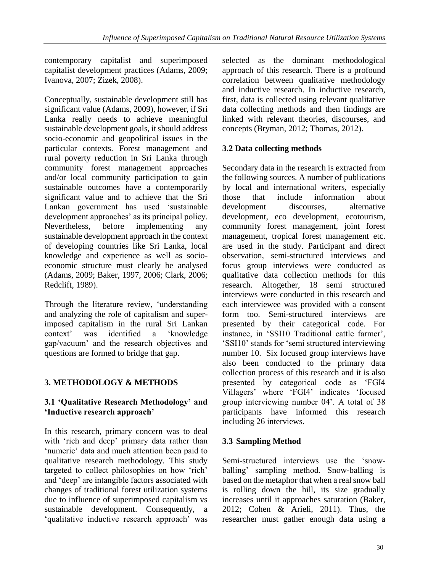contemporary capitalist and superimposed capitalist development practices (Adams, 2009; Ivanova, 2007; Zizek, 2008).

Conceptually, sustainable development still has significant value (Adams, 2009), however, if Sri Lanka really needs to achieve meaningful sustainable development goals, it should address socio-economic and geopolitical issues in the particular contexts. Forest management and rural poverty reduction in Sri Lanka through community forest management approaches and/or local community participation to gain sustainable outcomes have a contemporarily significant value and to achieve that the Sri Lankan government has used 'sustainable development approaches' as its principal policy. Nevertheless, before implementing any sustainable development approach in the context of developing countries like Sri Lanka, local knowledge and experience as well as socioeconomic structure must clearly be analysed (Adams, 2009; Baker, 1997, 2006; Clark, 2006; Redclift, 1989).

Through the literature review, 'understanding and analyzing the role of capitalism and superimposed capitalism in the rural Sri Lankan context' was identified a 'knowledge gap/vacuum' and the research objectives and questions are formed to bridge that gap.

# **3. METHODOLOGY & METHODS**

### **3.1 'Qualitative Research Methodology' and 'Inductive research approach'**

In this research, primary concern was to deal with 'rich and deep' primary data rather than 'numeric' data and much attention been paid to qualitative research methodology. This study targeted to collect philosophies on how 'rich' and 'deep' are intangible factors associated with changes of traditional forest utilization systems due to influence of superimposed capitalism vs sustainable development. Consequently, a 'qualitative inductive research approach' was

selected as the dominant methodological approach of this research. There is a profound correlation between qualitative methodology and inductive research. In inductive research, first, data is collected using relevant qualitative data collecting methods and then findings are linked with relevant theories, discourses, and concepts (Bryman, 2012; Thomas, 2012).

## **3.2 Data collecting methods**

Secondary data in the research is extracted from the following sources. A number of publications by local and international writers, especially those that include information about development discourses, alternative development, eco development, ecotourism, community forest management, joint forest management, tropical forest management etc. are used in the study. Participant and direct observation, semi-structured interviews and focus group interviews were conducted as qualitative data collection methods for this research. Altogether, 18 semi structured interviews were conducted in this research and each interviewee was provided with a consent form too. Semi-structured interviews are presented by their categorical code. For instance, in 'SSI10 Traditional cattle farmer', 'SSI10' stands for 'semi structured interviewing number 10. Six focused group interviews have also been conducted to the primary data collection process of this research and it is also presented by categorical code as 'FGI4 Villagers' where 'FGI4' indicates 'focused group interviewing number 04'. A total of 38 participants have informed this research including 26 interviews.

## **3.3 Sampling Method**

Semi-structured interviews use the 'snowballing' sampling method. Snow-balling is based on the metaphor that when a real snow ball is rolling down the hill, its size gradually increases until it approaches saturation (Baker, 2012; Cohen & Arieli, 2011). Thus, the researcher must gather enough data using a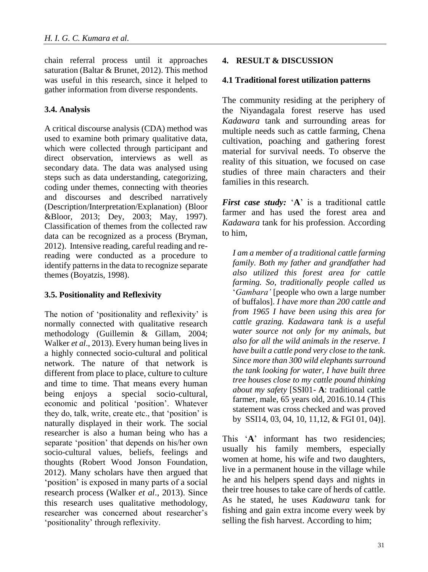chain referral process until it approaches saturation (Baltar & Brunet, 2012). This method was useful in this research, since it helped to gather information from diverse respondents.

### **3.4. Analysis**

A critical discourse analysis (CDA) method was used to examine both primary qualitative data, which were collected through participant and direct observation, interviews as well as secondary data. The data was analysed using steps such as data understanding, categorizing, coding under themes, connecting with theories and discourses and described narratively (Description/Interpretation/Explanation) (Bloor &Bloor, 2013; Dey, 2003; May, 1997). Classification of themes from the collected raw data can be recognized as a process (Bryman, 2012). Intensive reading, careful reading and rereading were conducted as a procedure to identify patterns in the data to recognize separate themes (Boyatzis, 1998).

### **3.5. Positionality and Reflexivity**

The notion of 'positionality and reflexivity' is normally connected with qualitative research methodology (Guillemin & Gillam, 2004; Walker *et al*., 2013). Every human being lives in a highly connected socio-cultural and political network. The nature of that network is different from place to place, culture to culture and time to time. That means every human being enjoys a special socio-cultural, economic and political 'position'. Whatever they do, talk, write, create etc., that 'position' is naturally displayed in their work. The social researcher is also a human being who has a separate 'position' that depends on his/her own socio-cultural values, beliefs, feelings and thoughts (Robert Wood Jonson Foundation, 2012). Many scholars have then argued that 'position' is exposed in many parts of a social research process (Walker *et al*., 2013). Since this research uses qualitative methodology, researcher was concerned about researcher's 'positionality' through reflexivity.

#### **4. RESULT & DISCUSSION**

#### **4.1 Traditional forest utilization patterns**

The community residing at the periphery of the Niyandagala forest reserve has used *Kadawara* tank and surrounding areas for multiple needs such as cattle farming, Chena cultivation, poaching and gathering forest material for survival needs. To observe the reality of this situation, we focused on case studies of three main characters and their families in this research.

*First case study:* '**A**' is a traditional cattle farmer and has used the forest area and *Kadawara* tank for his profession. According to him,

*I am a member of a traditional cattle farming family. Both my father and grandfather had also utilized this forest area for cattle farming. So, traditionally people called us* '*Gambara'* [people who own a large number of buffalos]. *I have more than 200 cattle and from 1965 I have been using this area for cattle grazing. Kadawara tank is a useful water source not only for my animals, but also for all the wild animals in the reserve. I have built a cattle pond very close to the tank. Since more than 300 wild elephants surround the tank looking for water, I have built three tree houses close to my cattle pound thinking about my safety* [SSI01- **A**: traditional cattle farmer, male, 65 years old, 2016.10.14 (This statement was cross checked and was proved by SSI14, 03, 04, 10, 11,12, & FGI 01, 04)].

This 'A' informant has two residencies; usually his family members, especially women at home, his wife and two daughters, live in a permanent house in the village while he and his helpers spend days and nights in their tree houses to take care of herds of cattle. As he stated, he uses *Kadawara* tank for fishing and gain extra income every week by selling the fish harvest. According to him;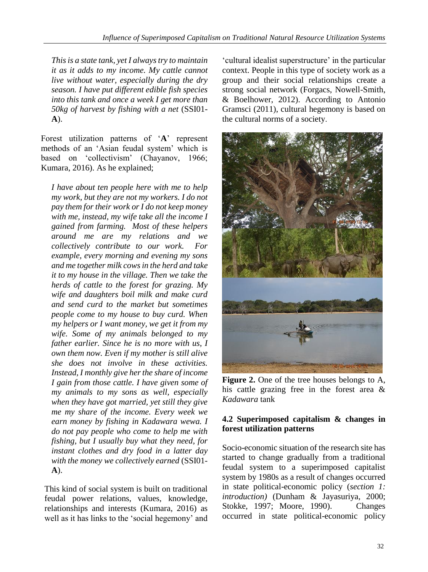*This is a state tank, yet I always try to maintain it as it adds to my income. My cattle cannot live without water, especially during the dry season. I have put different edible fish species into this tank and once a week I get more than 50kg of harvest by fishing with a net* (SSI01- **A**).

Forest utilization patterns of '**A**' represent methods of an 'Asian feudal system' which is based on 'collectivism' (Chayanov, 1966; Kumara, 2016). As he explained;

*I have about ten people here with me to help my work, but they are not my workers. I do not pay them for their work or I do not keep money with me, instead, my wife take all the income I gained from farming. Most of these helpers around me are my relations and we collectively contribute to our work. For example, every morning and evening my sons and me together milk cows in the herd and take it to my house in the village. Then we take the herds of cattle to the forest for grazing. My wife and daughters boil milk and make curd and send curd to the market but sometimes people come to my house to buy curd. When my helpers or I want money, we get it from my wife. Some of my animals belonged to my father earlier. Since he is no more with us, I own them now. Even if my mother is still alive she does not involve in these activities. Instead, I monthly give her the share of income I gain from those cattle. I have given some of my animals to my sons as well, especially when they have got married, yet still they give me my share of the income. Every week we earn money by fishing in Kadawara wewa. I do not pay people who come to help me with fishing, but I usually buy what they need, for instant clothes and dry food in a latter day with the money we collectively earned* (SSI01- **A**).

This kind of social system is built on traditional feudal power relations, values, knowledge, relationships and interests (Kumara, 2016) as well as it has links to the 'social hegemony' and 'cultural idealist superstructure' in the particular context. People in this type of society work as a group and their social relationships create a strong social network (Forgacs, Nowell-Smith, & Boelhower, 2012). According to Antonio Gramsci (2011), cultural hegemony is based on the cultural norms of a society.



**Figure 2.** One of the tree houses belongs to A, his cattle grazing free in the forest area & *Kadawara* tank

#### **4.2 Superimposed capitalism & changes in forest utilization patterns**

Socio-economic situation of the research site has started to change gradually from a traditional feudal system to a superimposed capitalist system by 1980s as a result of changes occurred in state political-economic policy (*section 1: introduction)* (Dunham & Jayasuriya, 2000; Stokke, 1997; Moore, 1990). Changes occurred in state political-economic policy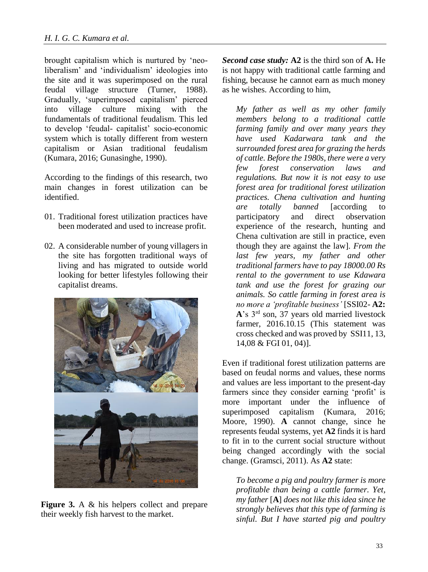brought capitalism which is nurtured by 'neoliberalism' and 'individualism' ideologies into the site and it was superimposed on the rural feudal village structure (Turner, 1988). Gradually, 'superimposed capitalism' pierced into village culture mixing with the fundamentals of traditional feudalism. This led to develop 'feudal- capitalist' socio-economic system which is totally different from western capitalism or Asian traditional feudalism (Kumara, 2016; Gunasinghe, 1990).

According to the findings of this research, two main changes in forest utilization can be identified.

- 01. Traditional forest utilization practices have been moderated and used to increase profit.
- 02. A considerable number of young villagers in the site has forgotten traditional ways of living and has migrated to outside world looking for better lifestyles following their capitalist dreams.



**Figure 3.** A & his helpers collect and prepare their weekly fish harvest to the market.

*Second case study:* **A2** is the third son of **A.** He is not happy with traditional cattle farming and fishing, because he cannot earn as much money as he wishes. According to him,

*My father as well as my other family members belong to a traditional cattle farming family and over many years they have used Kadarwara tank and the surrounded forest area for grazing the herds of cattle. Before the 1980s, there were a very few forest conservation laws and regulations. But now it is not easy to use forest area for traditional forest utilization practices. Chena cultivation and hunting are totally banned* [according to participatory and direct observation experience of the research, hunting and Chena cultivation are still in practice, even though they are against the law]. *From the last few years, my father and other traditional farmers have to pay 18000.00 Rs rental to the government to use Kdawara tank and use the forest for grazing our animals. So cattle farming in forest area is no more a 'profitable business'* [SSI02- **A2: A**'s 3rd son, 37 years old married livestock farmer, 2016.10.15 (This statement was cross checked and was proved by SSI11, 13, 14,08 & FGI 01, 04)].

Even if traditional forest utilization patterns are based on feudal norms and values, these norms and values are less important to the present-day farmers since they consider earning 'profit' is more important under the influence of superimposed capitalism (Kumara, 2016; Moore, 1990). **A** cannot change, since he represents feudal systems, yet **A2** finds it is hard to fit in to the current social structure without being changed accordingly with the social change. (Gramsci, 2011). As **A2** state:

*To become a pig and poultry farmer is more profitable than being a cattle farmer. Yet, my father* [**A**] *does not like this idea since he strongly believes that this type of farming is sinful. But I have started pig and poultry*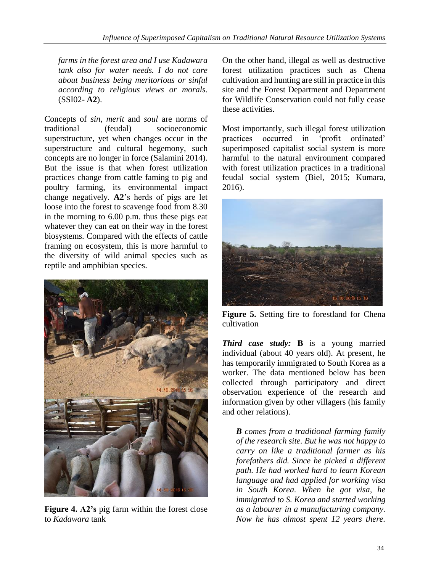*farms in the forest area and I use Kadawara tank also for water needs. I do not care about business being meritorious or sinful according to religious views or morals.*  (SSI02- **A2**).

Concepts of *sin*, *merit* and *soul* are norms of traditional (feudal) socioeconomic superstructure, yet when changes occur in the superstructure and cultural hegemony, such concepts are no longer in force (Salamini 2014). But the issue is that when forest utilization practices change from cattle faming to pig and poultry farming, its environmental impact change negatively. **A2**'s herds of pigs are let loose into the forest to scavenge food from 8.30 in the morning to 6.00 p.m. thus these pigs eat whatever they can eat on their way in the forest biosystems. Compared with the effects of cattle framing on ecosystem, this is more harmful to the diversity of wild animal species such as reptile and amphibian species.



**Figure 4. A2's** pig farm within the forest close to *Kadawara* tank

On the other hand, illegal as well as destructive forest utilization practices such as Chena cultivation and hunting are still in practice in this site and the Forest Department and Department for Wildlife Conservation could not fully cease these activities.

Most importantly, such illegal forest utilization practices occurred in 'profit ordinated' superimposed capitalist social system is more harmful to the natural environment compared with forest utilization practices in a traditional feudal social system (Biel, 2015; Kumara, 2016).



**Figure 5.** Setting fire to forestland for Chena cultivation

*Third case study:* **B** is a young married individual (about 40 years old). At present, he has temporarily immigrated to South Korea as a worker. The data mentioned below has been collected through participatory and direct observation experience of the research and information given by other villagers (his family and other relations).

*B comes from a traditional farming family of the research site. But he was not happy to carry on like a traditional farmer as his forefathers did. Since he picked a different path. He had worked hard to learn Korean language and had applied for working visa in South Korea. When he got visa, he immigrated to S. Korea and started working as a labourer in a manufacturing company. Now he has almost spent 12 years there.*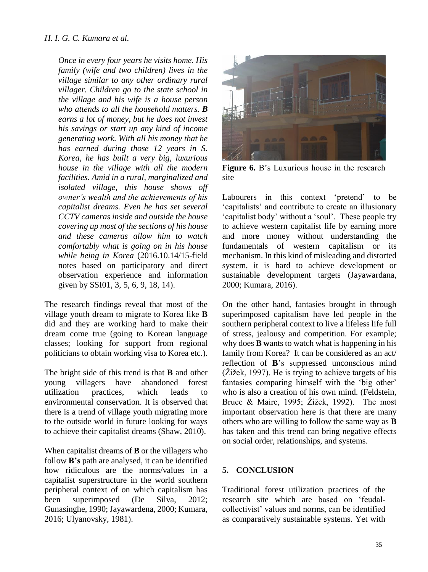*Once in every four years he visits home. His family (wife and two children) lives in the village similar to any other ordinary rural villager. Children go to the state school in the village and his wife is a house person who attends to all the household matters. B earns a lot of money, but he does not invest his savings or start up any kind of income generating work. With all his money that he has earned during those 12 years in S. Korea, he has built a very big, luxurious house in the village with all the modern facilities. Amid in a rural, marginalized and isolated village, this house shows off owner's wealth and the achievements of his capitalist dreams. Even he has set several CCTV cameras inside and outside the house covering up most of the sections of his house and these cameras allow him to watch comfortably what is going on in his house while being in Korea* (2016.10.14/15-field notes based on participatory and direct observation experience and information given by SSI01, 3, 5, 6, 9, 18, 14).

The research findings reveal that most of the village youth dream to migrate to Korea like **B**  did and they are working hard to make their dream come true (going to Korean language classes; looking for support from regional politicians to obtain working visa to Korea etc.).

The bright side of this trend is that **B** and other young villagers have abandoned forest utilization practices, which leads to environmental conservation. It is observed that there is a trend of village youth migrating more to the outside world in future looking for ways to achieve their capitalist dreams (Shaw, 2010).

When capitalist dreams of **B** or the villagers who follow **B's** path are analysed, it can be identified how ridiculous are the norms/values in a capitalist superstructure in the world southern peripheral context of on which capitalism has been superimposed (De Silva, 2012; Gunasinghe, 1990; Jayawardena, 2000; Kumara, 2016; Ulyanovsky, 1981).



**Figure 6.** B's Luxurious house in the research site

Labourers in this context 'pretend' to be 'capitalists' and contribute to create an illusionary 'capitalist body' without a 'soul'. These people try to achieve western capitalist life by earning more and more money without understanding the fundamentals of western capitalism or its mechanism. In this kind of misleading and distorted system, it is hard to achieve development or sustainable development targets (Jayawardana, 2000; Kumara, 2016).

On the other hand, fantasies brought in through superimposed capitalism have led people in the southern peripheral context to live a lifeless life full of stress, jealousy and competition. For example; why does **B w**ants to watch what is happening in his family from Korea? It can be considered as an act/ reflection of **B**'s suppressed unconscious mind (Žižek, 1997). He is trying to achieve targets of his fantasies comparing himself with the 'big other' who is also a creation of his own mind. (Feldstein, Bruce & Maire, 1995; Žižek, 1992). The most important observation here is that there are many others who are willing to follow the same way as **B**  has taken and this trend can bring negative effects on social order, relationships, and systems.

#### **5. CONCLUSION**

Traditional forest utilization practices of the research site which are based on 'feudalcollectivist' values and norms, can be identified as comparatively sustainable systems. Yet with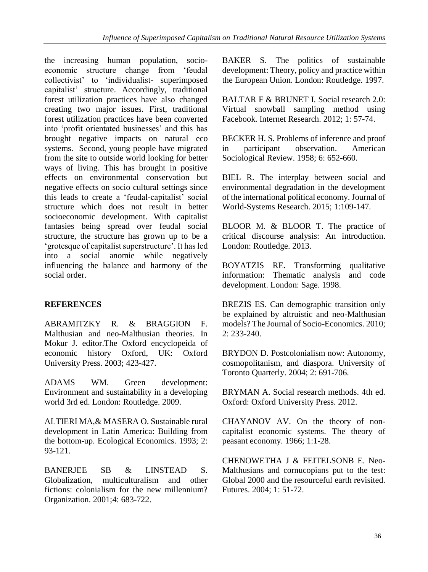the increasing human population, socioeconomic structure change from 'feudal collectivist' to 'individualist- superimposed capitalist' structure. Accordingly, traditional forest utilization practices have also changed creating two major issues. First, traditional forest utilization practices have been converted into 'profit orientated businesses' and this has brought negative impacts on natural eco systems. Second, young people have migrated from the site to outside world looking for better ways of living. This has brought in positive effects on environmental conservation but negative effects on socio cultural settings since this leads to create a 'feudal-capitalist' social structure which does not result in better socioeconomic development. With capitalist fantasies being spread over feudal social structure, the structure has grown up to be a 'grotesque of capitalist superstructure'. It has led into a social anomie while negatively influencing the balance and harmony of the social order.

### **REFERENCES**

ABRAMITZKY R. & BRAGGION F. Malthusian and neo-Malthusian theories. In Mokur J. editor.The Oxford encyclopeida of economic history Oxford, UK: Oxford University Press. 2003; 423-427.

ADAMS WM. Green development: Environment and sustainability in a developing world 3rd ed. London: Routledge. 2009.

ALTIERI MA,& MASERA O. Sustainable rural development in Latin America: Building from the bottom-up. Ecological Economics. 1993; 2: 93-121.

BANERJEE SB & LINSTEAD S. Globalization, multiculturalism and other fictions: colonialism for the new millennium? Organization. 2001;4: 683-722.

BAKER S. The politics of sustainable development: Theory, policy and practice within the European Union. London: Routledge. 1997.

BALTAR F & BRUNET I. Social research 2.0: Virtual snowball sampling method using Facebook. Internet Research. 2012; 1: 57-74.

BECKER H. S. Problems of inference and proof in participant observation. American Sociological Review. 1958; 6: 652-660.

BIEL R. The interplay between social and environmental degradation in the development of the international political economy. Journal of World-Systems Research. 2015; 1:109-147.

BLOOR M. & BLOOR T. The practice of critical discourse analysis: An introduction. London: Routledge. 2013.

BOYATZIS RE. Transforming qualitative information: Thematic analysis and code development. London: Sage. 1998.

BREZIS ES. Can demographic transition only be explained by altruistic and neo-Malthusian models? The Journal of Socio-Economics. 2010; 2: 233-240.

BRYDON D. Postcolonialism now: Autonomy, cosmopolitanism, and diaspora. University of Toronto Quarterly. 2004; 2: 691-706.

BRYMAN A. Social research methods. 4th ed. Oxford: Oxford University Press. 2012.

CHAYANOV AV. On the theory of noncapitalist economic systems. The theory of peasant economy. 1966; 1:1-28.

CHENOWETHA J & FEITELSONB E. Neo-Malthusians and cornucopians put to the test: Global 2000 and the resourceful earth revisited. Futures. 2004; 1: 51-72.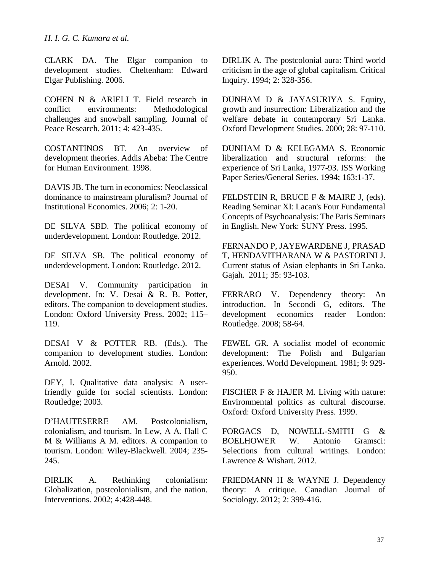CLARK DA. The Elgar companion to development studies. Cheltenham: Edward Elgar Publishing. 2006.

COHEN N & ARIELI T. Field research in conflict environments: Methodological challenges and snowball sampling. Journal of Peace Research. 2011; 4: 423-435.

COSTANTINOS BT. An overview of development theories. Addis Abeba: The Centre for Human Environment. 1998.

DAVIS JB. The turn in economics: Neoclassical dominance to mainstream pluralism? Journal of Institutional Economics. 2006; 2: 1-20.

DE SILVA SBD. The political economy of underdevelopment. London: Routledge. 2012.

DE SILVA SB. The political economy of underdevelopment. London: Routledge. 2012.

DESAI V. Community participation in development. In: V. Desai & R. B. Potter, editors. The companion to development studies. London: Oxford University Press. 2002; 115– 119.

DESAI V & POTTER RB. (Eds.). The companion to development studies. London: Arnold. 2002.

DEY, I. Qualitative data analysis: A userfriendly guide for social scientists. London: Routledge; 2003.

D'HAUTESERRE AM. Postcolonialism, colonialism, and tourism. In Lew, A A. Hall C M & Williams A M. editors. A companion to tourism. London: Wiley-Blackwell. 2004; 235- 245.

DIRLIK A. Rethinking colonialism: Globalization, postcolonialism, and the nation. Interventions. 2002; 4:428-448.

DIRLIK A. The postcolonial aura: Third world criticism in the age of global capitalism. Critical Inquiry. 1994; 2: 328-356.

DUNHAM D & JAYASURIYA S. Equity, growth and insurrection: Liberalization and the welfare debate in contemporary Sri Lanka. Oxford Development Studies. 2000; 28: 97-110.

DUNHAM D & KELEGAMA S. Economic liberalization and structural reforms: the experience of Sri Lanka, 1977-93. ISS Working Paper Series/General Series. 1994; 163:1-37.

FELDSTEIN R, BRUCE F & MAIRE J, (eds). Reading Seminar XI: Lacan's Four Fundamental Concepts of Psychoanalysis: The Paris Seminars in English. New York: SUNY Press. 1995.

FERNANDO P, JAYEWARDENE J, PRASAD T, HENDAVITHARANA W & PASTORINI J. Current status of Asian elephants in Sri Lanka. Gajah. 2011; 35: 93-103.

FERRARO V. Dependency theory: An introduction. In Secondi G, editors. The development economics reader London: Routledge. 2008; 58-64.

FEWEL GR. A socialist model of economic development: The Polish and Bulgarian experiences. World Development. 1981; 9: 929- 950.

FISCHER F & HAJER M. Living with nature: Environmental politics as cultural discourse. Oxford: Oxford University Press. 1999.

FORGACS D, NOWELL-SMITH G & BOELHOWER W. Antonio Gramsci: Selections from cultural writings. London: Lawrence & Wishart. 2012.

FRIEDMANN H & WAYNE J. Dependency theory: A critique. Canadian Journal of Sociology. 2012; 2: 399-416.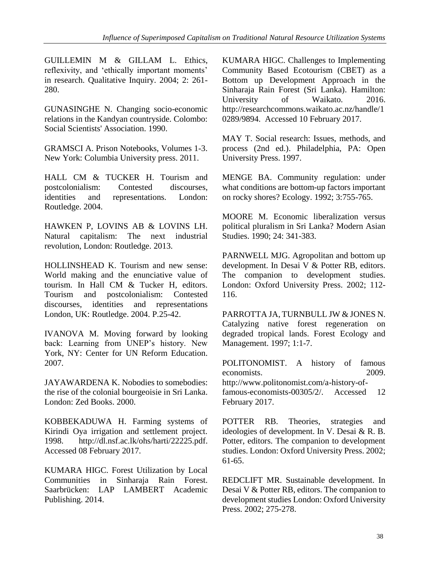GUILLEMIN M & GILLAM L. Ethics, reflexivity, and 'ethically important moments' in research. Qualitative Inquiry. 2004; 2: 261- 280.

GUNASINGHE N. Changing socio-economic relations in the Kandyan countryside. Colombo: Social Scientists' Association. 1990.

GRAMSCI A. Prison Notebooks, Volumes 1-3. New York: Columbia University press. 2011.

HALL CM & TUCKER H. Tourism and postcolonialism: Contested discourses, identities and representations. London: Routledge. 2004.

HAWKEN P, LOVINS AB & LOVINS LH. Natural capitalism: The next industrial revolution, London: Routledge. 2013.

HOLLINSHEAD K. Tourism and new sense: World making and the enunciative value of tourism. In Hall CM & Tucker H, editors. Tourism and postcolonialism: Contested discourses, identities and representations London, UK: Routledge. 2004. P.25-42.

IVANOVA M. Moving forward by looking back: Learning from UNEP's history. New York, NY: Center for UN Reform Education. 2007.

JAYAWARDENA K. Nobodies to somebodies: the rise of the colonial bourgeoisie in Sri Lanka. London: Zed Books. 2000.

KOBBEKADUWA H. Farming systems of Kirindi Oya irrigation and settlement project. 1998. http://dl.nsf.ac.lk/ohs/harti/22225.pdf. Accessed 08 February 2017.

KUMARA HIGC. Forest Utilization by Local Communities in Sinharaja Rain Forest. Saarbrücken: LAP LAMBERT Academic Publishing. 2014.

KUMARA HIGC. Challenges to Implementing Community Based Ecotourism (CBET) as a Bottom up Development Approach in the Sinharaja Rain Forest (Sri Lanka). Hamilton: University of Waikato. 2016. http://researchcommons.waikato.ac.nz/handle/1 0289/9894. Accessed 10 February 2017.

MAY T. Social research: Issues, methods, and process (2nd ed.). Philadelphia, PA: Open University Press. 1997.

MENGE BA. Community regulation: under what conditions are bottom-up factors important on rocky shores? Ecology. 1992; 3:755-765.

MOORE M. Economic liberalization versus political pluralism in Sri Lanka? Modern Asian Studies. 1990; 24: 341-383.

PARNWELL MJG. Agropolitan and bottom up development. In Desai V & Potter RB, editors. The companion to development studies. London: Oxford University Press. 2002; 112- 116.

PARROTTA JA, TURNBULL JW & JONES N. Catalyzing native forest regeneration on degraded tropical lands. Forest Ecology and Management. 1997; 1:1-7.

POLITONOMIST. A history of famous economists. 2009. http://www.politonomist.com/a-history-offamous-economists-00305/2/. Accessed 12

February 2017.

POTTER RB. Theories, strategies and ideologies of development. In V. Desai & R. B. Potter, editors. The companion to development studies. London: Oxford University Press. 2002; 61-65.

REDCLIFT MR. Sustainable development. In Desai V & Potter RB, editors. The companion to development studies London: Oxford University Press. 2002; 275-278.